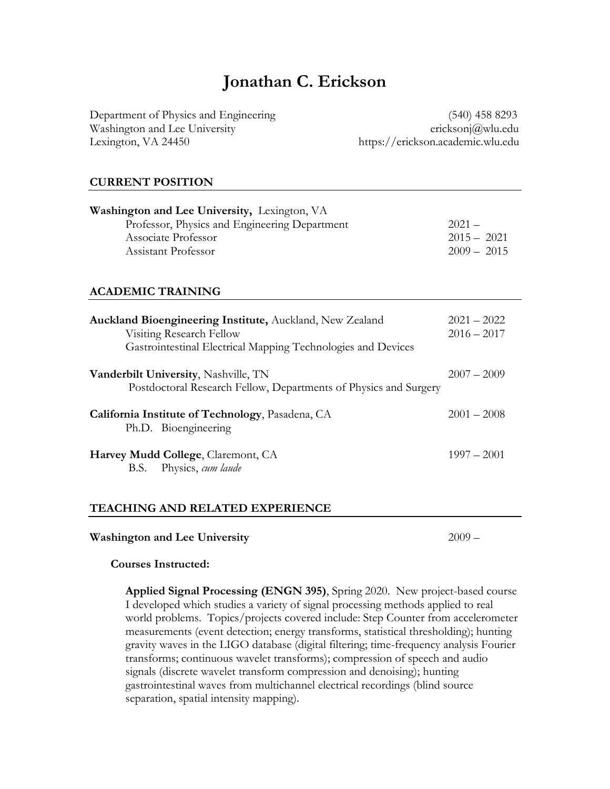# **Jonathan C. Erickson**

Department of Physics and Engineering (540) 458 8293 Washington and Lee University ericksonj $\omega$ u.edu Lexington, VA 24450 https://erickson.academic.wlu.edu

## **CURRENT POSITION**

| <b>Washington and Lee University, Lexington, VA</b> |               |  |  |
|-----------------------------------------------------|---------------|--|--|
| Professor, Physics and Engineering Department       | $2021 -$      |  |  |
| Associate Professor                                 | $2015 - 2021$ |  |  |
| Assistant Professor                                 | $2009 - 2015$ |  |  |
|                                                     |               |  |  |

## **ACADEMIC TRAINING**

| <b>Auckland Bioengineering Institute, Auckland, New Zealand</b><br>Visiting Research Fellow<br>Gastrointestinal Electrical Mapping Technologies and Devices | $2021 - 2022$<br>$2016 - 2017$ |
|-------------------------------------------------------------------------------------------------------------------------------------------------------------|--------------------------------|
| <b>Vanderbilt University, Nashville, TN</b><br>Postdoctoral Research Fellow, Departments of Physics and Surgery                                             | $2007 - 2009$                  |
| California Institute of Technology, Pasadena, CA<br>Ph.D. Bioengineering                                                                                    | $2001 - 2008$                  |
| Harvey Mudd College, Claremont, CA<br>B.S. Physics, cum laude                                                                                               | $1997 - 2001$                  |

#### **TEACHING AND RELATED EXPERIENCE**

#### **Washington and Lee University** 2009 –

## **Courses Instructed:**

**Applied Signal Processing (ENGN 395)**, Spring 2020. New project-based course I developed which studies a variety of signal processing methods applied to real world problems. Topics/projects covered include: Step Counter from accelerometer measurements (event detection; energy transforms, statistical thresholding); hunting gravity waves in the LIGO database (digital filtering; time-frequency analysis Fourier transforms; continuous wavelet transforms); compression of speech and audio signals (discrete wavelet transform compression and denoising); hunting gastrointestinal waves from multichannel electrical recordings (blind source separation, spatial intensity mapping).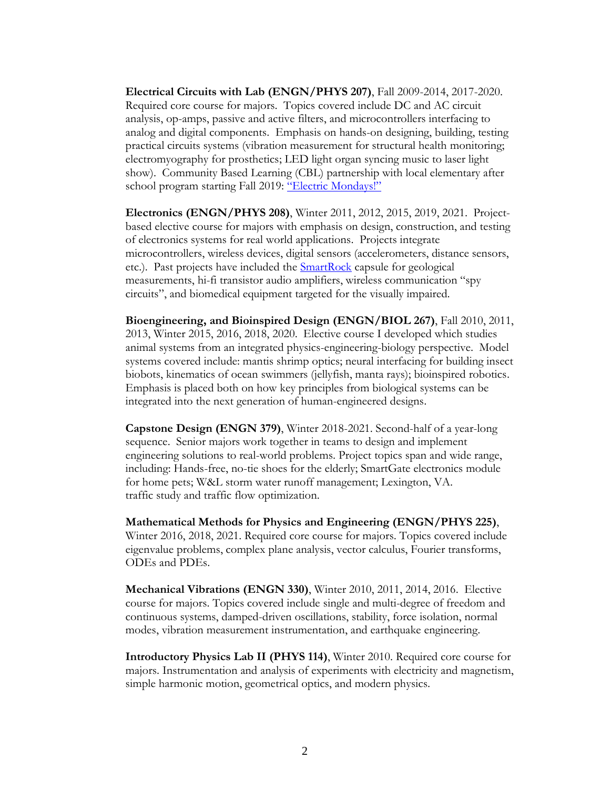**Electrical Circuits with Lab (ENGN/PHYS 207)**, Fall 2009-2014, 2017-2020. Required core course for majors. Topics covered include DC and AC circuit analysis, op-amps, passive and active filters, and microcontrollers interfacing to analog and digital components. Emphasis on hands-on designing, building, testing practical circuits systems (vibration measurement for structural health monitoring; electromyography for prosthetics; LED light organ syncing music to laser light show). Community Based Learning (CBL) partnership with local elementary after school program starting Fall 2019: ["Electric Mondays!"](file:///C:/Users/ericksonj/Box/WandL/promotion_and_tenure/TenureReview/statements_20141123/building%20circuits)

**Electronics (ENGN/PHYS 208)**, Winter 2011, 2012, 2015, 2019, 2021. Projectbased elective course for majors with emphasis on design, construction, and testing of electronics systems for real world applications. Projects integrate microcontrollers, wireless devices, digital sensors (accelerometers, distance sensors, etc.). Past projects have included the **SmartRock** capsule for geological measurements, hi-fi transistor audio amplifiers, wireless communication "spy circuits", and biomedical equipment targeted for the visually impaired.

**Bioengineering, and Bioinspired Design (ENGN/BIOL 267)**, Fall 2010, 2011, 2013, Winter 2015, 2016, 2018, 2020. Elective course I developed which studies animal systems from an integrated physics-engineering-biology perspective. Model systems covered include: mantis shrimp optics; neural interfacing for building insect biobots, kinematics of ocean swimmers (jellyfish, manta rays); bioinspired robotics. Emphasis is placed both on how key principles from biological systems can be integrated into the next generation of human-engineered designs.

**Capstone Design (ENGN 379)**, Winter 2018-2021. Second-half of a year-long sequence. Senior majors work together in teams to design and implement engineering solutions to real-world problems. Project topics span and wide range, including: Hands-free, no-tie shoes for the elderly; SmartGate electronics module for home pets; W&L storm water runoff management; Lexington, VA. traffic study and traffic flow optimization.

**Mathematical Methods for Physics and Engineering (ENGN/PHYS 225)**, Winter 2016, 2018, 2021. Required core course for majors. Topics covered include eigenvalue problems, complex plane analysis, vector calculus, Fourier transforms, ODEs and PDEs.

**Mechanical Vibrations (ENGN 330)**, Winter 2010, 2011, 2014, 2016. Elective course for majors. Topics covered include single and multi-degree of freedom and continuous systems, damped-driven oscillations, stability, force isolation, normal modes, vibration measurement instrumentation, and earthquake engineering.

**Introductory Physics Lab II (PHYS 114)**, Winter 2010. Required core course for majors. Instrumentation and analysis of experiments with electricity and magnetism, simple harmonic motion, geometrical optics, and modern physics.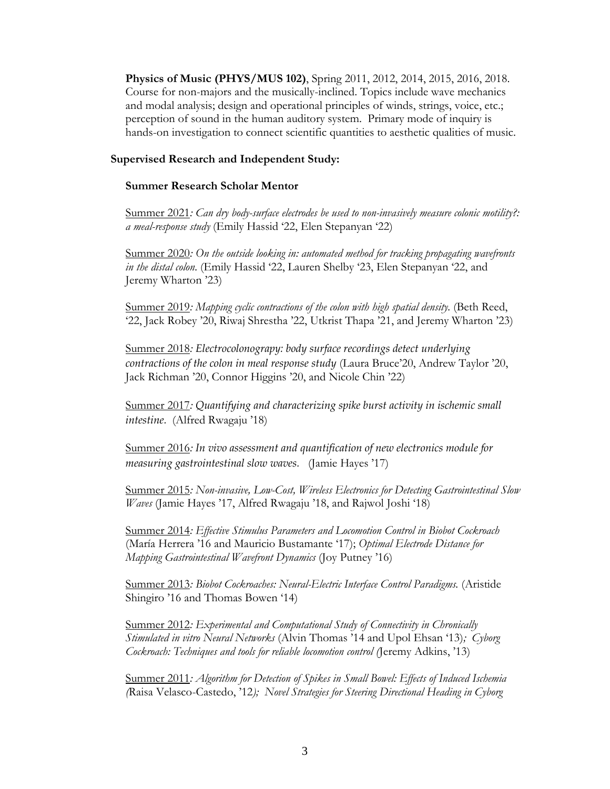**Physics of Music (PHYS/MUS 102)**, Spring 2011, 2012, 2014, 2015, 2016, 2018. Course for non-majors and the musically-inclined. Topics include wave mechanics and modal analysis; design and operational principles of winds, strings, voice, etc.; perception of sound in the human auditory system. Primary mode of inquiry is hands-on investigation to connect scientific quantities to aesthetic qualities of music.

#### **Supervised Research and Independent Study:**

#### **Summer Research Scholar Mentor**

Summer 2021*: Can dry body-surface electrodes be used to non-invasively measure colonic motility?: a meal-response study* (Emily Hassid '22, Elen Stepanyan '22)

Summer 2020*: On the outside looking in: automated method for tracking propagating wavefronts in the distal colon.* (Emily Hassid '22, Lauren Shelby '23, Elen Stepanyan '22, and Jeremy Wharton '23)

Summer 2019*: Mapping cyclic contractions of the colon with high spatial density.* (Beth Reed, '22, Jack Robey '20, Riwaj Shrestha '22, Utkrist Thapa '21, and Jeremy Wharton '23)

Summer 2018*: Electrocolonograpy: body surface recordings detect underlying contractions of the colon in meal response study* (Laura Bruce'20, Andrew Taylor '20, Jack Richman '20, Connor Higgins '20, and Nicole Chin '22)

Summer 2017*: Quantifying and characterizing spike burst activity in ischemic small intestine.* (Alfred Rwagaju '18)

Summer 2016*: In vivo assessment and quantification of new electronics module for measuring gastrointestinal slow waves.* (Jamie Hayes '17)

Summer 2015*: Non-invasive, Low-Cost, Wireless Electronics for Detecting Gastrointestinal Slow Waves* (Jamie Hayes '17, Alfred Rwagaju '18, and Rajwol Joshi '18)

Summer 2014*: Effective Stimulus Parameters and Locomotion Control in Biobot Cockroach*  (María Herrera '16 and Mauricio Bustamante '17); *Optimal Electrode Distance for Mapping Gastrointestinal Wavefront Dynamics* (Joy Putney '16)

Summer 2013*: Biobot Cockroaches: Neural-Electric Interface Control Paradigms.* (Aristide Shingiro '16 and Thomas Bowen '14)

Summer 2012*: Experimental and Computational Study of Connectivity in Chronically Stimulated in vitro Neural Networks* (Alvin Thomas '14 and Upol Ehsan '13)*; Cyborg Cockroach: Techniques and tools for reliable locomotion control (*Jeremy Adkins, '13)

Summer 2011*: Algorithm for Detection of Spikes in Small Bowel: Effects of Induced Ischemia (*Raisa Velasco-Castedo, '12*); Novel Strategies for Steering Directional Heading in Cyborg*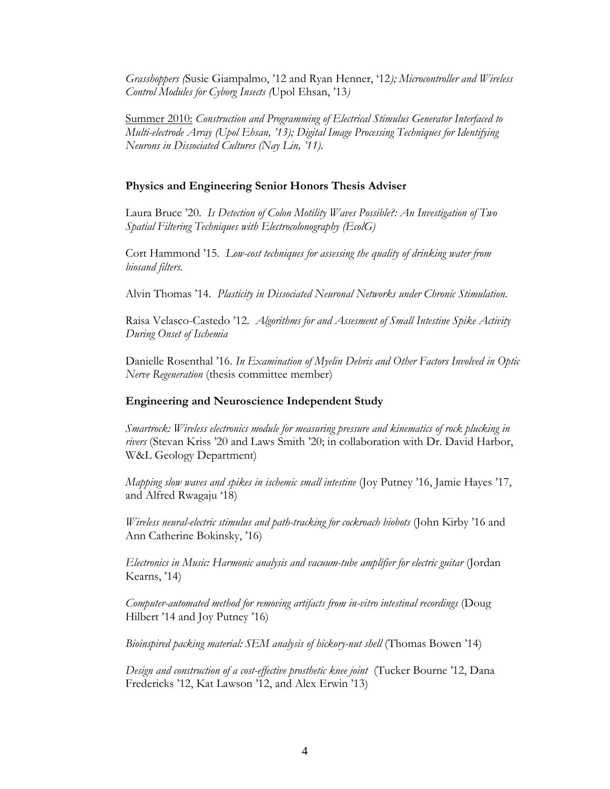*Grasshoppers (*Susie Giampalmo, '12 and Ryan Henner, '12*); Microcontroller and Wireless Control Modules for Cyborg Insects (*Upol Ehsan, '13*)*

Summer 2010: *Construction and Programming of Electrical Stimulus Generator Interfaced to Multi-electrode Array (Upol Ehsan, '13); Digital Image Processing Techniques for Identifying Neurons in Dissociated Cultures (Nay Lin, '11).*

## **Physics and Engineering Senior Honors Thesis Adviser**

Laura Bruce '20. *Is Detection of Colon Motility Waves Possible?: An Investigation of Two Spatial Filtering Techniques with Electrocolonography (EcolG)*

Cort Hammond '15. *Low-cost techniques for assessing the quality of drinking water from biosand filters.*

Alvin Thomas '14. *Plasticity in Dissociated Neuronal Networks under Chronic Stimulation.*

Raisa Velasco-Castedo '12. *Algorithms for and Assesment of Small Intestine Spike Activity During Onset of Ischemia*

Danielle Rosenthal '16. *In Examination of Myelin Debris and Other Factors Involved in Optic Nerve Regeneration* (thesis committee member)

#### **Engineering and Neuroscience Independent Study**

*Smartrock: Wireless electronics module for measuring pressure and kinematics of rock plucking in rivers* (Stevan Kriss '20 and Laws Smith '20; in collaboration with Dr. David Harbor, W&L Geology Department)

*Mapping slow waves and spikes in ischemic small intestine* (Joy Putney '16, Jamie Hayes '17, and Alfred Rwagaju '18)

*Wireless neural-electric stimulus and path-tracking for cockroach biobots* (John Kirby '16 and Ann Catherine Bokinsky, '16)

*Electronics in Music: Harmonic analysis and vacuum-tube amplifier for electric guitar* (Jordan Kearns, '14)

*Computer-automated method for removing artifacts from in-vitro intestinal recordings* (Doug Hilbert '14 and Joy Putney '16)

*Bioinspired packing material: SEM analysis of hickory-nut shell* (Thomas Bowen '14)

*Design and construction of a cost-effective prosthetic knee joint* (Tucker Bourne '12, Dana Fredericks '12, Kat Lawson '12, and Alex Erwin '13)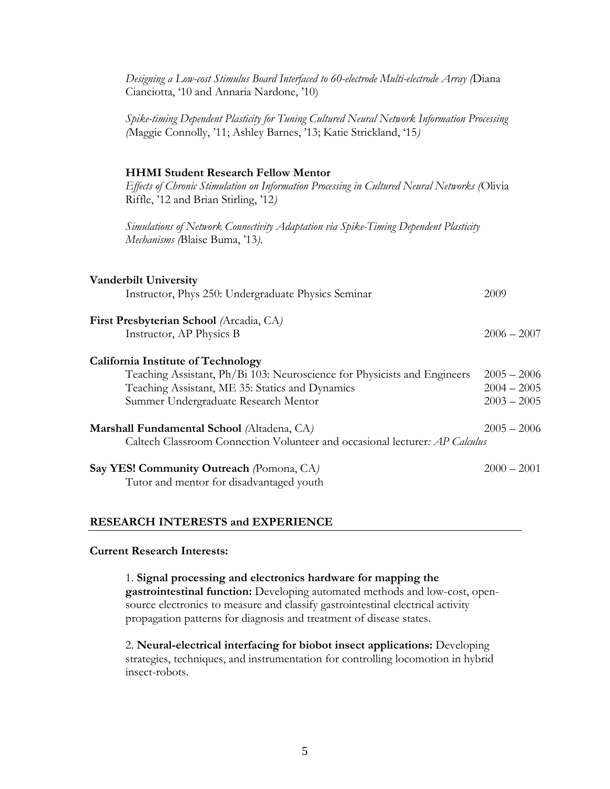| Designing a Low-cost Stimulus Board Interfaced to 60-electrode Multi-electrode Array (Diana<br>Cianciotta, '10 and Annaria Nardone, '10)                                                                         |                                                 |
|------------------------------------------------------------------------------------------------------------------------------------------------------------------------------------------------------------------|-------------------------------------------------|
| Spike-timing Dependent Plasticity for Tuning Cultured Neural Network Information Processing<br>(Maggie Connolly, '11; Ashley Barnes, '13; Katie Strickland, '15)                                                 |                                                 |
| <b>HHMI Student Research Fellow Mentor</b><br>Effects of Chronic Stimulation on Information Processing in Cultured Neural Networks (Olivia<br>Riffle, '12 and Brian Stirling, '12)                               |                                                 |
| Simulations of Network Connectivity Adaptation via Spike-Timing Dependent Plasticity<br>Mechanisms (Blaise Buma, '13).                                                                                           |                                                 |
| <b>Vanderbilt University</b><br>Instructor, Phys 250: Undergraduate Physics Seminar                                                                                                                              | 2009                                            |
| First Presbyterian School (Arcadia, CA)<br>Instructor, AP Physics B                                                                                                                                              | $2006 - 2007$                                   |
| <b>California Institute of Technology</b><br>Teaching Assistant, Ph/Bi 103: Neuroscience for Physicists and Engineers<br>Teaching Assistant, ME 35: Statics and Dynamics<br>Summer Undergraduate Research Mentor | $2005 - 2006$<br>$2004 - 2005$<br>$2003 - 2005$ |
| Marshall Fundamental School (Altadena, CA)<br>Caltech Classroom Connection Volunteer and occasional lecturer: AP Calculus                                                                                        | $2005 - 2006$                                   |
| Say YES! Community Outreach (Pomona, CA)<br>Tutor and mentor for disadvantaged youth                                                                                                                             | $2000 - 2001$                                   |
|                                                                                                                                                                                                                  |                                                 |

## **RESEARCH INTERESTS and EXPERIENCE**

#### **Current Research Interests:**

1. **Signal processing and electronics hardware for mapping the gastrointestinal function:** Developing automated methods and low-cost, opensource electronics to measure and classify gastrointestinal electrical activity propagation patterns for diagnosis and treatment of disease states.

2. **Neural-electrical interfacing for biobot insect applications:** Developing strategies, techniques, and instrumentation for controlling locomotion in hybrid insect-robots.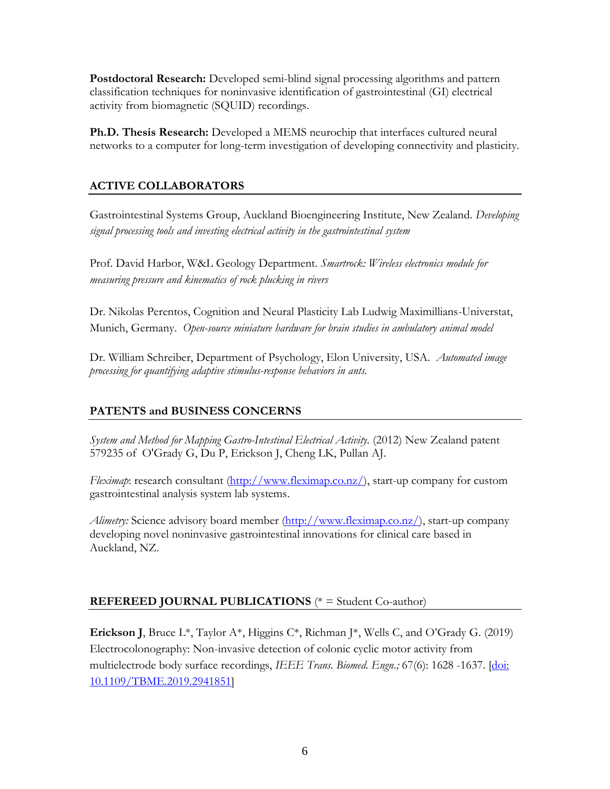**Postdoctoral Research:** Developed semi-blind signal processing algorithms and pattern classification techniques for noninvasive identification of gastrointestinal (GI) electrical activity from biomagnetic (SQUID) recordings.

**Ph.D. Thesis Research:** Developed a MEMS neurochip that interfaces cultured neural networks to a computer for long-term investigation of developing connectivity and plasticity.

# **ACTIVE COLLABORATORS**

Gastrointestinal Systems Group, Auckland Bioengineering Institute, New Zealand. *Developing signal processing tools and investing electrical activity in the gastrointestinal system* 

Prof. David Harbor, W&L Geology Department. *Smartrock: Wireless electronics module for measuring pressure and kinematics of rock plucking in rivers*

Dr. Nikolas Perentos, Cognition and Neural Plasticity Lab Ludwig Maximillians-Universtat, Munich, Germany. *Open-source miniature hardware for brain studies in ambulatory animal model*

Dr. William Schreiber, Department of Psychology, Elon University, USA. *Automated image processing for quantifying adaptive stimulus-response behaviors in ants.*

# **PATENTS and BUSINESS CONCERNS**

*System and Method for Mapping Gastro-Intestinal Electrical Activity.* (2012) New Zealand patent 579235 of O'Grady G, Du P, Erickson J, Cheng LK, Pullan AJ.

*Fleximap*: research consultant [\(http://www.fleximap.co.nz/\)](http://www.fleximap.co.nz/), start-up company for custom gastrointestinal analysis system lab systems.

*Alimetry:* Science advisory board member [\(http://www.fleximap.co.nz/\)](http://www.fleximap.co.nz/), start-up company developing novel noninvasive gastrointestinal innovations for clinical care based in Auckland, NZ.

# **REFEREED JOURNAL PUBLICATIONS** (\* = Student Co-author)

**Erickson J**, Bruce L\*, Taylor A\*, Higgins C\*, Richman J\*, Wells C, and O'Grady G. (2019) Electrocolonography: Non-invasive detection of colonic cyclic motor activity from multielectrode body surface recordings, *IEEE Trans. Biomed. Engn.;* 67(6): 1628 -1637. [\[doi:](https://ieeexplore.ieee.org/document/8839813?source=authoralert)  [10.1109/TBME.2019.2941851\]](https://ieeexplore.ieee.org/document/8839813?source=authoralert)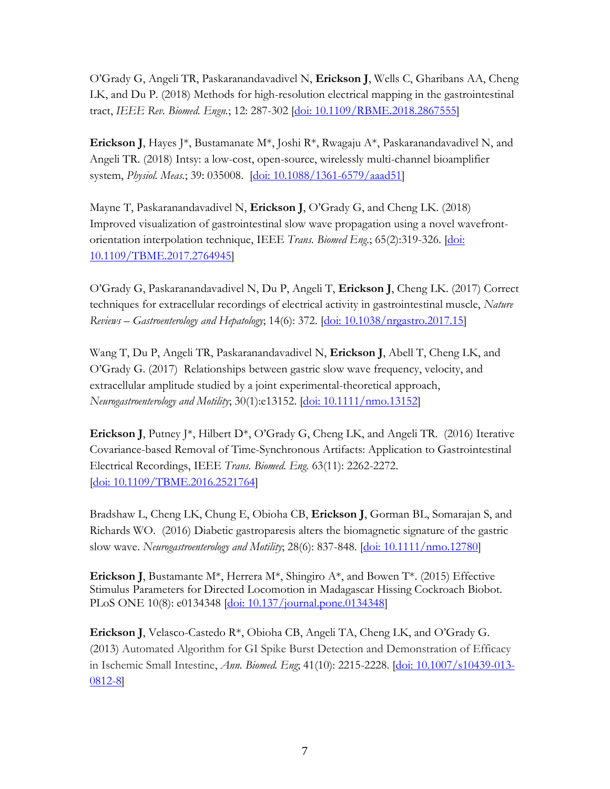O'Grady G, Angeli TR, Paskaranandavadivel N, **Erickson J**, Wells C, Gharibans AA, Cheng LK, and Du P. (2018) Methods for high-resolution electrical mapping in the gastrointestinal tract, *IEEE Rev. Biomed. Engn.*; 12: 287-302 [\[doi: 10.1109/RBME.2018.2867555\]](https://ieeexplore.ieee.org/document/8450068)

**Erickson J**, Hayes J<sup>\*</sup>, Bustamanate M<sup>\*</sup>, Joshi R<sup>\*</sup>, Rwagaju A<sup>\*</sup>, Paskaranandavadivel N, and Angeli TR. (2018) Intsy: a low-cost, open-source, wirelessly multi-channel bioamplifier system, *Physiol. Meas.*; 39: 035008. [\[doi: 10.1088/1361-6579/aaad51\]](https://iopscience.iop.org/article/10.1088/1361-6579/aaad51/meta)

Mayne T, Paskaranandavadivel N, **Erickson J**, O'Grady G, and Cheng LK. (2018) Improved visualization of gastrointestinal slow wave propagation using a novel wavefrontorientation interpolation technique, IEEE *Trans. Biomed Eng.*; 65(2):319-326. [\[doi:](https://ieeexplore.ieee.org/document/8078273)  [10.1109/TBME.2017.2764945\]](https://ieeexplore.ieee.org/document/8078273)

O'Grady G, Paskaranandavadivel N, Du P, Angeli T, **Erickson J**, Cheng LK. (2017) Correct techniques for extracellular recordings of electrical activity in gastrointestinal muscle, *Nature Reviews – Gastroenterology and Hepatology*; 14(6): 372. [\[doi: 10.1038/nrgastro.2017.15\]](https://www.nature.com/articles/nrgastro.2017.15)

Wang T, Du P, Angeli TR, Paskaranandavadivel N, **Erickson J**, Abell T, Cheng LK, and O'Grady G. (2017) Relationships between gastric slow wave frequency, velocity, and extracellular amplitude studied by a joint experimental-theoretical approach, *Neurogastroenterology and Motility*; 30(1):e13152. [\[doi: 10.1111/nmo.13152\]](https://onlinelibrary.wiley.com/doi/full/10.1111/nmo.13152)

**Erickson J,** Putney J<sup>\*</sup>, Hilbert  $D^*$ , O'Grady G, Cheng LK, and Angeli TR. (2016) Iterative Covariance-based Removal of Time-Synchronous Artifacts: Application to Gastrointestinal Electrical Recordings, IEEE *Trans. Biomed. Eng.* 63(11): 2262-2272. [\[doi: 10.1109/TBME.2016.2521764\]](https://ieeexplore.ieee.org/document/7393508)

Bradshaw L, Cheng LK, Chung E, Obioha CB, **Erickson J**, Gorman BL, Somarajan S, and Richards WO. (2016) Diabetic gastroparesis alters the biomagnetic signature of the gastric slow wave. *Neurogastroenterology and Motility*; 28(6): 837-848. [\[doi: 10.1111/nmo.12780\]](https://onlinelibrary.wiley.com/doi/full/10.1111/nmo.12780)

**Erickson J**, Bustamante M\*, Herrera M\*, Shingiro A\*, and Bowen T\*. (2015) Effective Stimulus Parameters for Directed Locomotion in Madagascar Hissing Cockroach Biobot. PLoS ONE 10(8): e0134348 [doi: [10.137/journal.pone.0134348\]](https://journals.plos.org/plosone/article?id=10.1371/journal.pone.0134348)

**Erickson J**, Velasco-Castedo R\*, Obioha CB, Angeli TA, Cheng LK, and O'Grady G. (2013) Automated Algorithm for GI Spike Burst Detection and Demonstration of Efficacy in Ischemic Small Intestine, *Ann. Biomed. Eng*; 41(10): 2215-2228. [\[doi: 10.1007/s10439-013-](https://link.springer.com/article/10.1007/s10439-013-0812-8) [0812-8\]](https://link.springer.com/article/10.1007/s10439-013-0812-8)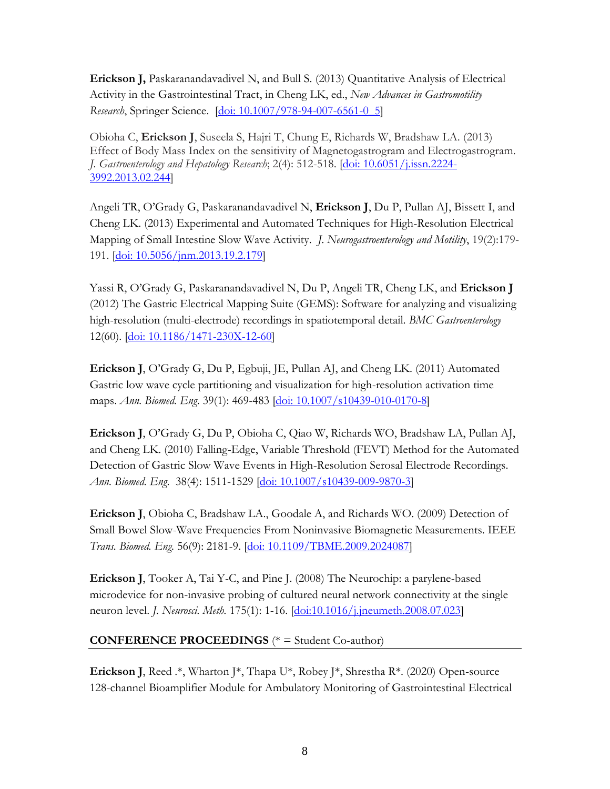**Erickson J,** Paskaranandavadivel N, and Bull S. (2013) Quantitative Analysis of Electrical Activity in the Gastrointestinal Tract, in Cheng LK, ed., *New Advances in Gastromotility Research*, Springer Science. [\[doi: 10.1007/978-94-007-6561-0\\_5\]](https://link.springer.com/chapter/10.1007/978-94-007-6561-0_5)

Obioha C, **Erickson J**, Suseela S, Hajri T, Chung E, Richards W, Bradshaw LA. (2013) Effect of Body Mass Index on the sensitivity of Magnetogastrogram and Electrogastrogram. *J. Gastroenterology and Hepatology Research*; 2(4): 512-518. [\[doi: 10.6051/j.issn.2224-](http://www.ghrnet.org/index.php/joghr/article/view/350) [3992.2013.02.244\]](http://www.ghrnet.org/index.php/joghr/article/view/350)

Angeli TR, O'Grady G, Paskaranandavadivel N, **Erickson J**, Du P, Pullan AJ, Bissett I, and Cheng LK. (2013) Experimental and Automated Techniques for High-Resolution Electrical Mapping of Small Intestine Slow Wave Activity. *J. Neurogastroenterology and Motility*, 19(2):179- 191. [\[doi: 10.5056/jnm.2013.19.2.179\]](http://www.jnmjournal.org/journal/view.html?doi=10.5056/jnm.2013.19.2.179)

Yassi R, O'Grady G, Paskaranandavadivel N, Du P, Angeli TR, Cheng LK, and **Erickson J** (2012) The Gastric Electrical Mapping Suite (GEMS): Software for analyzing and visualizing high-resolution (multi-electrode) recordings in spatiotemporal detail. *BMC Gastroenterology* 12(60). [\[doi: 10.1186/1471-230X-12-60\]](https://bmcgastroenterol.biomedcentral.com/articles/10.1186/1471-230X-12-60)

**Erickson J**, O'Grady G, Du P, Egbuji, JE, Pullan AJ, and Cheng LK. (2011) Automated Gastric low wave cycle partitioning and visualization for high-resolution activation time maps. *Ann. Biomed. Eng*. 39(1): 469-483 [\[doi: 10.1007/s10439-010-0170-8\]](https://link.springer.com/article/10.1007/s10439-010-0170-8)

**Erickson J**, O'Grady G, Du P, Obioha C, Qiao W, Richards WO, Bradshaw LA, Pullan AJ, and Cheng LK. (2010) Falling-Edge, Variable Threshold (FEVT) Method for the Automated Detection of Gastric Slow Wave Events in High-Resolution Serosal Electrode Recordings. *Ann. Biomed. Eng*. 38(4): 1511-1529 [\[doi: 10.1007/s10439-009-9870-3\]](https://link.springer.com/article/10.1007/s10439-009-9870-3)

**Erickson J**, Obioha C, Bradshaw LA., Goodale A, and Richards WO. (2009) Detection of Small Bowel Slow-Wave Frequencies From Noninvasive Biomagnetic Measurements. IEEE *Trans. Biomed. Eng.* 56(9): 2181-9. [\[doi: 10.1109/TBME.2009.2024087\]](https://ieeexplore.ieee.org/document/5061638)

**Erickson J**, Tooker A, Tai Y-C, and Pine J. (2008) The Neurochip: a parylene-based microdevice for non-invasive probing of cultured neural network connectivity at the single neuron level. *J. Neurosci. Meth.* 175(1): 1-16. [\[doi:10.1016/j.jneumeth.2008.07.023\]](https://www.sciencedirect.com/science/article/pii/S0165027008004482)

# **CONFERENCE PROCEEDINGS** (\* = Student Co-author)

**Erickson J,** Reed .\*, Wharton J\*, Thapa U\*, Robey J\*, Shrestha R\*. (2020) Open-source 128-channel Bioamplifier Module for Ambulatory Monitoring of Gastrointestinal Electrical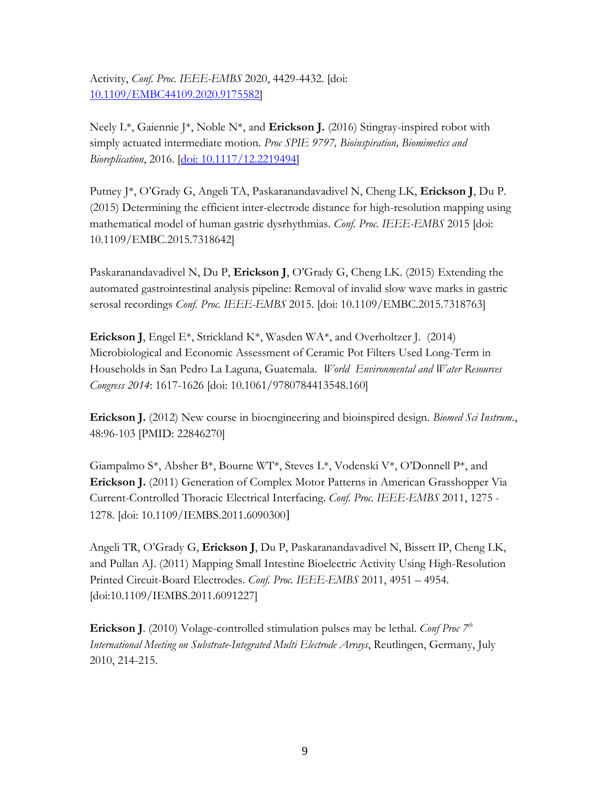Activity, *Conf. Proc. IEEE-EMBS* 2020, 4429-4432. [doi: [10.1109/EMBC44109.2020.9175582\]](https://ieeexplore.ieee.org/document/9175582)

Neely L\*, Gaiennie J\*, Noble N\*, and **Erickson J.** (2016) Stingray-inspired robot with simply actuated intermediate motion. *Proc SPIE 9797, Bioinspiration, Biomimetics and Bioreplication*, 2016. [\[doi: 10.1117/12.2219494\]](https://www.spiedigitallibrary.org/conference-proceedings-of-spie/9797/97970U/Stingray-inspired-robot-with-simply-actuated-intermediate-motion/10.1117/12.2219494.short?SSO=1)

Putney J\*, O'Grady G, Angeli TA, Paskaranandavadivel N, Cheng LK, **Erickson J**, Du P. (2015) Determining the efficient inter-electrode distance for high-resolution mapping using mathematical model of human gastric dysrhythmias. *Conf. Proc. IEEE-EMBS* 2015 [doi: 10.1109/EMBC.2015.7318642]

Paskaranandavadivel N, Du P, **Erickson J**, O'Grady G, Cheng LK. (2015) Extending the automated gastrointestinal analysis pipeline: Removal of invalid slow wave marks in gastric serosal recordings *Conf. Proc. IEEE-EMBS* 2015. [doi: 10.1109/EMBC.2015.7318763]

**Erickson J**, Engel E\*, Strickland K\*, Wasden WA\*, and Overholtzer J. (2014) Microbiological and Economic Assessment of Ceramic Pot Filters Used Long-Term in Households in San Pedro La Laguna, Guatemala. *World Environmental and Water Resources Congress 2014*: 1617-1626 [doi: 10.1061/9780784413548.160]

**Erickson J.** (2012) New course in bioengineering and bioinspired design. *Biomed Sci Instrum.*, 48:96-103 [PMID: 22846270]

Giampalmo S\*, Absher B\*, Bourne WT\*, Steves L\*, Vodenski V\*, O'Donnell P\*, and **Erickson J.** (2011) Generation of Complex Motor Patterns in American Grasshopper Via Current-Controlled Thoracic Electrical Interfacing. *Conf. Proc. IEEE-EMBS* 2011, 1275 - 1278. [doi: [10.1109/IEMBS.2011.6090300](http://dx.doi.org/10.1109/IEMBS.2011.6090300)]

Angeli TR, O'Grady G, **Erickson J**, Du P, Paskaranandavadivel N, Bissett IP, Cheng LK, and Pullan AJ. (2011) Mapping Small Intestine Bioelectric Activity Using High-Resolution Printed Circuit-Board Electrodes. *Conf. Proc. IEEE-EMBS* 2011, 4951 – 4954. [doi:10.1109/IEMBS.2011.6091227]

**Erickson J**. (2010) Volage-controlled stimulation pulses may be lethal. *Conf Proc 7th International Meeting on Substrate-Integrated Multi Electrode Arrays*, Reutlingen, Germany, July 2010, 214-215.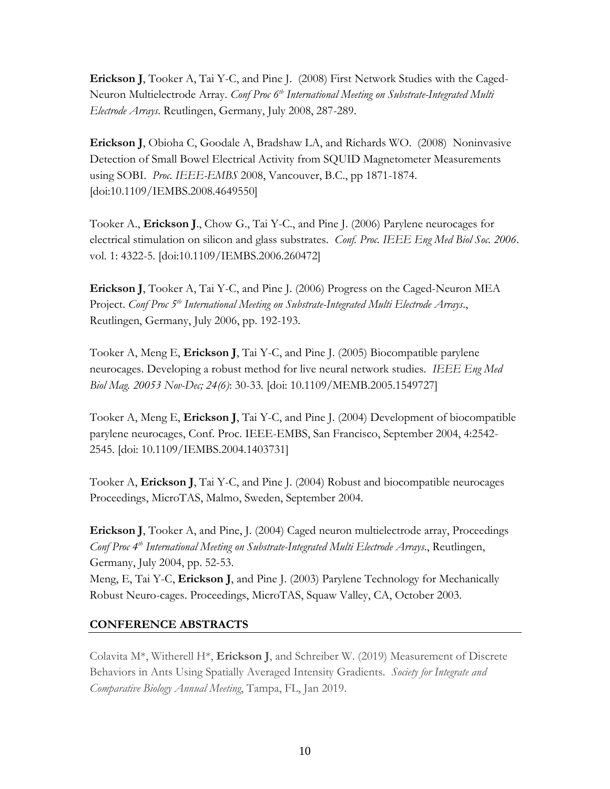**Erickson J**, Tooker A, Tai Y-C, and Pine J. (2008) First Network Studies with the Caged-Neuron Multielectrode Array. *Conf Proc 6th International Meeting on Substrate-Integrated Multi Electrode Arrays*. Reutlingen, Germany, July 2008, 287-289.

**Erickson J**, Obioha C, Goodale A, Bradshaw LA, and Richards WO. (2008) Noninvasive Detection of Small Bowel Electrical Activity from SQUID Magnetometer Measurements using SOBI. *Proc. IEEE-EMBS* 2008, Vancouver, B.C., pp 1871-1874. [doi:10.1109/IEMBS.2008.4649550]

Tooker A., **Erickson J**., Chow G., Tai Y-C., and Pine J. (2006) Parylene neurocages for electrical stimulation on silicon and glass substrates. *Conf. Proc. IEEE Eng Med Biol Soc. 2006*. vol. 1: 4322-5. [doi:10.1109/IEMBS.2006.260472]

**Erickson J**, Tooker A, Tai Y-C, and Pine J. (2006) Progress on the Caged-Neuron MEA Project. *Conf Proc 5th International Meeting on Substrate-Integrated Multi Electrode Arrays*., Reutlingen, Germany, July 2006, pp. 192-193.

Tooker A, Meng E, **Erickson J**, Tai Y-C, and Pine J. (2005) Biocompatible parylene neurocages. Developing a robust method for live neural network studies. *IEEE Eng Med Biol Mag. 20053 Nov-Dec; 24(6)*: 30-33*.* [doi: 10.1109/MEMB.2005.1549727]

Tooker A, Meng E, **Erickson J**, Tai Y-C, and Pine J. (2004) Development of biocompatible parylene neurocages, Conf. Proc. IEEE-EMBS, San Francisco, September 2004, 4:2542- 2545. [doi: 10.1109/IEMBS.2004.1403731]

Tooker A, **Erickson J**, Tai Y-C, and Pine J. (2004) Robust and biocompatible neurocages Proceedings, MicroTAS, Malmo, Sweden, September 2004.

**Erickson J**, Tooker A, and Pine, J. (2004) Caged neuron multielectrode array, Proceedings *Conf Proc 4th International Meeting on Substrate-Integrated Multi Electrode Arrays*., Reutlingen, Germany, July 2004, pp. 52-53.

Meng, E, Tai Y-C, **Erickson J**, and Pine J. (2003) Parylene Technology for Mechanically Robust Neuro-cages. Proceedings, MicroTAS, Squaw Valley, CA, October 2003.

# **CONFERENCE ABSTRACTS**

Colavita M\*, Witherell H\*, **Erickson J**, and Schreiber W. (2019) Measurement of Discrete Behaviors in Ants Using Spatially Averaged Intensity Gradients. *Society for Integrate and Comparative Biology Annual Meeting*, Tampa, FL, Jan 2019.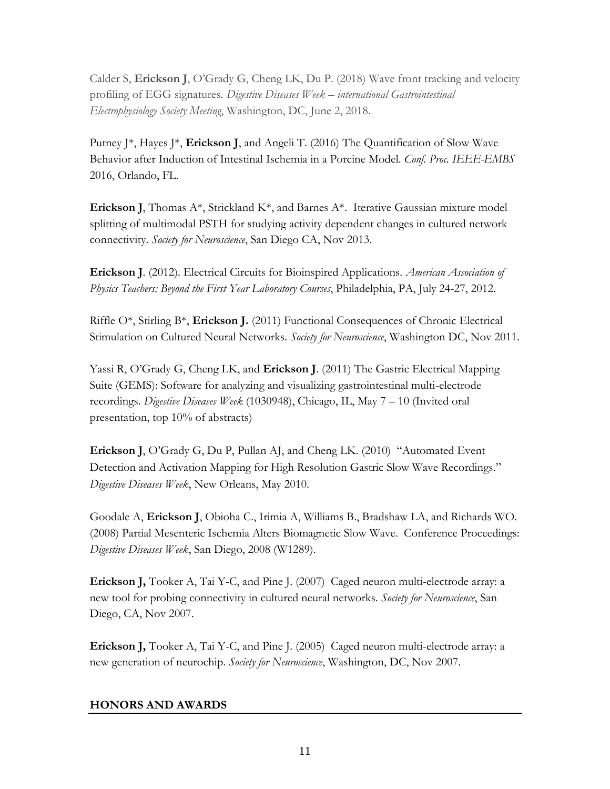Calder S, **Erickson J**, O'Grady G, Cheng LK, Du P. (2018) Wave front tracking and velocity profiling of EGG signatures. *Digestive Diseases Week – international Gastrointestinal Electrophysiology Society Meeting*, Washington, DC, June 2, 2018.

Putney J\*, Hayes J\*, **Erickson J**, and Angeli T. (2016) The Quantification of Slow Wave Behavior after Induction of Intestinal Ischemia in a Porcine Model. *Conf. Proc. IEEE-EMBS* 2016, Orlando, FL.

**Erickson J**, Thomas A\*, Strickland K\*, and Barnes A\*. Iterative Gaussian mixture model splitting of multimodal PSTH for studying activity dependent changes in cultured network connectivity. *Society for Neuroscience*, San Diego CA, Nov 2013.

**Erickson J**. (2012). Electrical Circuits for Bioinspired Applications. *American Association of Physics Teachers: Beyond the First Year Laboratory Courses*, Philadelphia, PA, July 24-27, 2012.

Riffle O\*, Stirling B\*, **Erickson J.** (2011) Functional Consequences of Chronic Electrical Stimulation on Cultured Neural Networks. *Society for Neuroscience*, Washington DC, Nov 2011.

Yassi R, O'Grady G, Cheng LK, and **Erickson J**. (2011) The Gastric Electrical Mapping Suite (GEMS): Software for analyzing and visualizing gastrointestinal multi-electrode recordings. *Digestive Diseases Week* (1030948), Chicago, IL, May 7 – 10 (Invited oral presentation, top 10% of abstracts)

**Erickson J**, O'Grady G, Du P, Pullan AJ, and Cheng LK. (2010) "Automated Event Detection and Activation Mapping for High Resolution Gastric Slow Wave Recordings." *Digestive Diseases Week*, New Orleans, May 2010.

Goodale A, **Erickson J**, Obioha C., Irimia A, Williams B., Bradshaw LA, and Richards WO. (2008) Partial Mesenteric Ischemia Alters Biomagnetic Slow Wave. Conference Proceedings: *Digestive Diseases Week*, San Diego, 2008 (W1289).

**Erickson J,** Tooker A, Tai Y-C, and Pine J. (2007) Caged neuron multi-electrode array: a new tool for probing connectivity in cultured neural networks. *Society for Neuroscience*, San Diego, CA, Nov 2007.

**Erickson J,** Tooker A, Tai Y-C, and Pine J. (2005) Caged neuron multi-electrode array: a new generation of neurochip. *Society for Neuroscience*, Washington, DC, Nov 2007.

# **HONORS AND AWARDS**